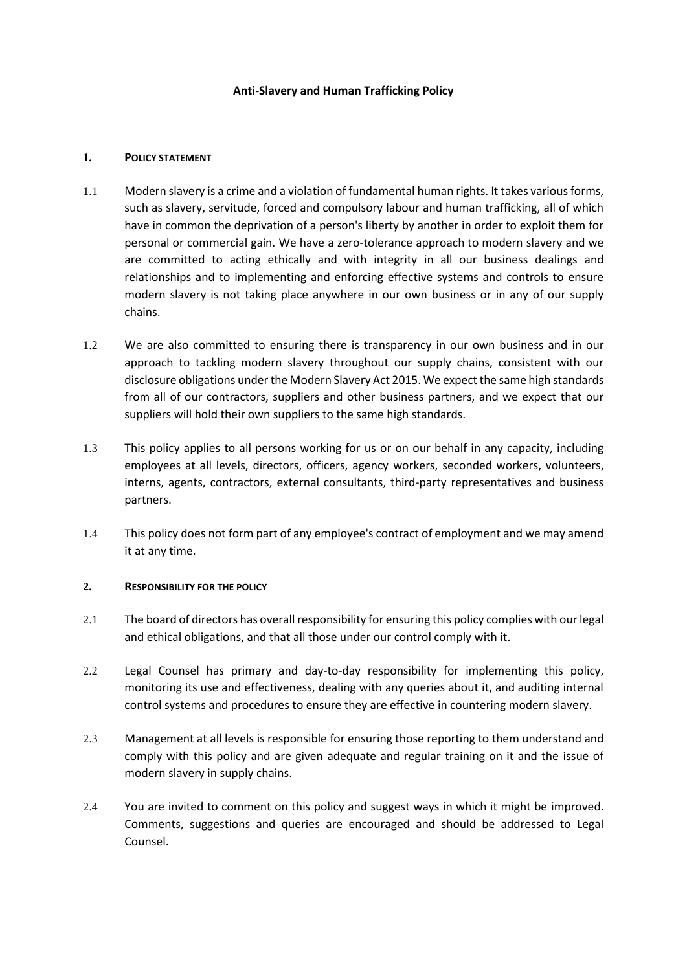### **Anti-Slavery and Human Trafficking Policy**

### **1. POLICY STATEMENT**

- 1.1 Modern slavery is a crime and a violation of fundamental human rights. It takes various forms, such as slavery, servitude, forced and compulsory labour and human trafficking, all of which have in common the deprivation of a person's liberty by another in order to exploit them for personal or commercial gain. We have a zero-tolerance approach to modern slavery and we are committed to acting ethically and with integrity in all our business dealings and relationships and to implementing and enforcing effective systems and controls to ensure modern slavery is not taking place anywhere in our own business or in any of our supply chains.
- 1.2 We are also committed to ensuring there is transparency in our own business and in our approach to tackling modern slavery throughout our supply chains, consistent with our disclosure obligations under the Modern Slavery Act 2015. We expect the same high standards from all of our contractors, suppliers and other business partners, and we expect that our suppliers will hold their own suppliers to the same high standards.
- 1.3 This policy applies to all persons working for us or on our behalf in any capacity, including employees at all levels, directors, officers, agency workers, seconded workers, volunteers, interns, agents, contractors, external consultants, third-party representatives and business partners.
- 1.4 This policy does not form part of any employee's contract of employment and we may amend it at any time.

# **2. RESPONSIBILITY FOR THE POLICY**

- 2.1 The board of directors has overall responsibility for ensuring this policy complies with our legal and ethical obligations, and that all those under our control comply with it.
- 2.2 Legal Counsel has primary and day-to-day responsibility for implementing this policy, monitoring its use and effectiveness, dealing with any queries about it, and auditing internal control systems and procedures to ensure they are effective in countering modern slavery.
- 2.3 Management at all levels is responsible for ensuring those reporting to them understand and comply with this policy and are given adequate and regular training on it and the issue of modern slavery in supply chains.
- 2.4 You are invited to comment on this policy and suggest ways in which it might be improved. Comments, suggestions and queries are encouraged and should be addressed to Legal Counsel.